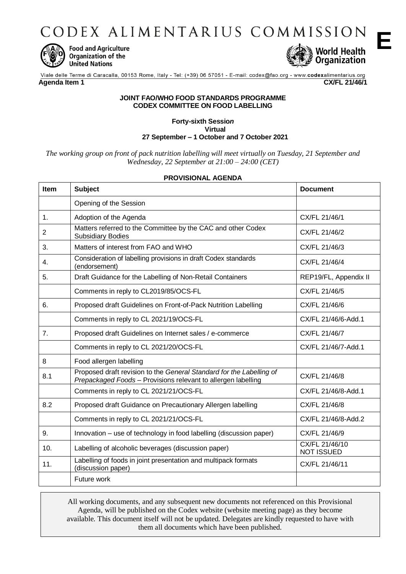CODEX ALIMENTARIUS COMMISSION



**Food and Agriculture** Organization of the **United Nations** 



**E**

Viale delle Terme di Caracalla, 00153 Rome, Italy - Tel: (+39) 06 57051 - E-mail: codex@fao.org - www.codexalimentarius.org **Agenda Item 1 CX/FL 21/46/1**

### **JOINT FAO/WHO FOOD STANDARDS PROGRAMME CODEX COMMITTEE ON FOOD LABELLING**

#### **Forty-sixth Sessio***n* **Virtual 27 September – 1 October and 7 October 2021**

*The working group on front of pack nutrition labelling will meet virtually on Tuesday, 21 September and Wednesday, 22 September at 21:00 – 24:00 (CET)*

## **PROVISIONAL AGENDA**

| <b>Item</b>    | <b>Subject</b>                                                                                                                        | <b>Document</b>                     |
|----------------|---------------------------------------------------------------------------------------------------------------------------------------|-------------------------------------|
|                | Opening of the Session                                                                                                                |                                     |
| 1 <sub>1</sub> | Adoption of the Agenda                                                                                                                | CX/FL 21/46/1                       |
| 2              | Matters referred to the Committee by the CAC and other Codex<br><b>Subsidiary Bodies</b>                                              | CX/FL 21/46/2                       |
| 3.             | Matters of interest from FAO and WHO                                                                                                  | CX/FL 21/46/3                       |
| 4.             | Consideration of labelling provisions in draft Codex standards<br>(endorsement)                                                       | CX/FL 21/46/4                       |
| 5.             | Draft Guidance for the Labelling of Non-Retail Containers                                                                             | REP19/FL, Appendix II               |
|                | Comments in reply to CL2019/85/OCS-FL                                                                                                 | CX/FL 21/46/5                       |
| 6.             | Proposed draft Guidelines on Front-of-Pack Nutrition Labelling                                                                        | CX/FL 21/46/6                       |
|                | Comments in reply to CL 2021/19/OCS-FL                                                                                                | CX/FL 21/46/6-Add.1                 |
| 7 <sub>1</sub> | Proposed draft Guidelines on Internet sales / e-commerce                                                                              | CX/FL 21/46/7                       |
|                | Comments in reply to CL 2021/20/OCS-FL                                                                                                | CX/FL 21/46/7-Add.1                 |
| 8              | Food allergen labelling                                                                                                               |                                     |
| 8.1            | Proposed draft revision to the General Standard for the Labelling of<br>Prepackaged Foods - Provisions relevant to allergen labelling | CX/FL 21/46/8                       |
|                | Comments in reply to CL 2021/21/OCS-FL                                                                                                | CX/FL 21/46/8-Add.1                 |
| 8.2            | Proposed draft Guidance on Precautionary Allergen labelling                                                                           | CX/FL 21/46/8                       |
|                | Comments in reply to CL 2021/21/OCS-FL                                                                                                | CX/FL 21/46/8-Add.2                 |
| 9.             | Innovation – use of technology in food labelling (discussion paper)                                                                   | CX/FL 21/46/9                       |
| 10.            | Labelling of alcoholic beverages (discussion paper)                                                                                   | CX/FL 21/46/10<br><b>NOT ISSUED</b> |
| 11.            | Labelling of foods in joint presentation and multipack formats<br>(discussion paper)                                                  | CX/FL 21/46/11                      |
|                | Future work                                                                                                                           |                                     |

All working documents, and any subsequent new documents not referenced on this Provisional Agenda, will be published on the Codex website (website meeting page) as they become available. This document itself will not be updated. Delegates are kindly requested to have with them all documents which have been published.